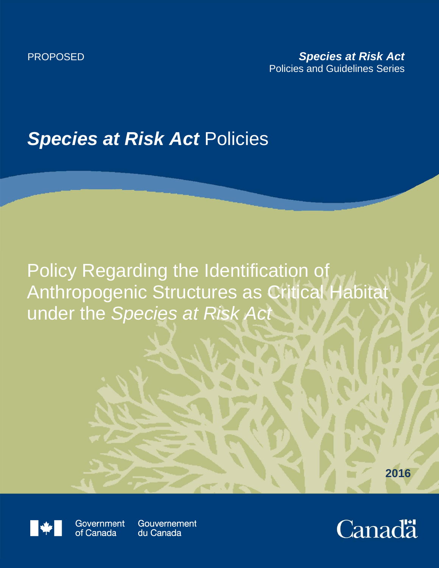## **Species at Risk Act Policies**

Policy Regarding the Identification of Anthropogenic Structures as Critical Habitat under the *Species at Risk Act*

**2016**



Government of Canada

Gouvernement du Canada

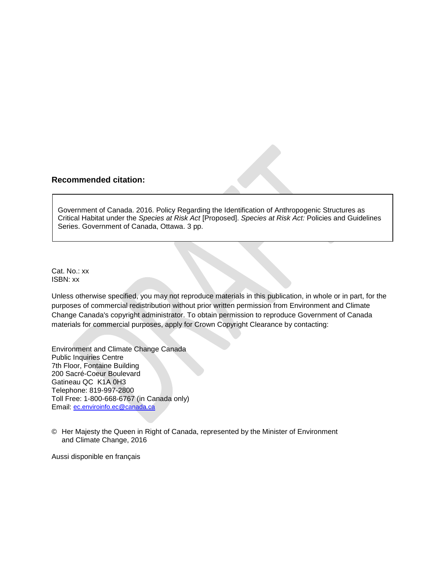## **Recommended citation:**

Government of Canada. 2016. Policy Regarding the Identification of Anthropogenic Structures as Critical Habitat under the *Species at Risk Act* [Proposed]. *Species at Risk Act:* Policies and Guidelines Series. Government of Canada, Ottawa. 3 pp.

Cat. No.: xx ISBN: xx

Unless otherwise specified, you may not reproduce materials in this publication, in whole or in part, for the purposes of commercial redistribution without prior written permission from Environment and Climate Change Canada's copyright administrator. To obtain permission to reproduce Government of Canada materials for commercial purposes, apply for Crown Copyright Clearance by contacting:

Environment and Climate Change Canada Public Inquiries Centre 7th Floor, Fontaine Building 200 Sacré-Coeur Boulevard Gatineau QC K1A 0H3 Telephone: 819-997-2800 Toll Free: 1-800-668-6767 (in Canada only) Email: [ec.enviroinfo.ec@canada.ca](mailto:ec.enviroinfo.ec@canada.ca)

© Her Majesty the Queen in Right of Canada, represented by the Minister of Environment and Climate Change, 2016

Aussi disponible en français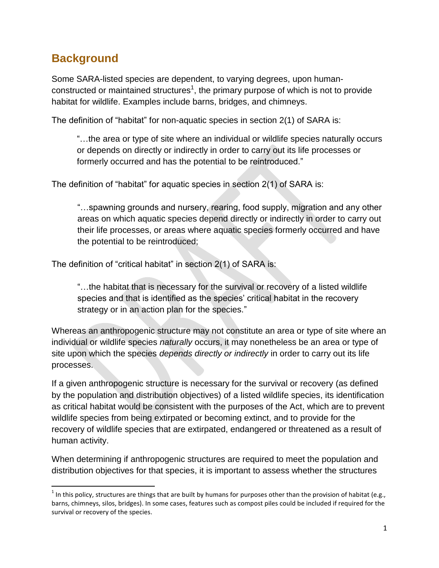## **Background**

 $\overline{\phantom{a}}$ 

Some SARA-listed species are dependent, to varying degrees, upon humanconstructed or maintained structures<sup>1</sup>, the primary purpose of which is not to provide habitat for wildlife. Examples include barns, bridges, and chimneys.

The definition of "habitat" for non-aquatic species in section 2(1) of SARA is:

"…the area or type of site where an individual or wildlife species naturally occurs or depends on directly or indirectly in order to carry out its life processes or formerly occurred and has the potential to be reintroduced."

The definition of "habitat" for aquatic species in section 2(1) of SARA is:

"…spawning grounds and nursery, rearing, food supply, migration and any other areas on which aquatic species depend directly or indirectly in order to carry out their life processes, or areas where aquatic species formerly occurred and have the potential to be reintroduced;

The definition of "critical habitat" in section 2(1) of SARA is:

"…the habitat that is necessary for the survival or recovery of a listed wildlife species and that is identified as the species' critical habitat in the recovery strategy or in an action plan for the species."

Whereas an anthropogenic structure may not constitute an area or type of site where an individual or wildlife species *naturally* occurs, it may nonetheless be an area or type of site upon which the species *depends directly or indirectly* in order to carry out its life processes.

If a given anthropogenic structure is necessary for the survival or recovery (as defined by the population and distribution objectives) of a listed wildlife species, its identification as critical habitat would be consistent with the purposes of the Act, which are to prevent wildlife species from being extirpated or becoming extinct, and to provide for the recovery of wildlife species that are extirpated, endangered or threatened as a result of human activity.

When determining if anthropogenic structures are required to meet the population and distribution objectives for that species, it is important to assess whether the structures

<sup>&</sup>lt;sup>1</sup> In this policy, structures are things that are built by humans for purposes other than the provision of habitat (e.g., barns, chimneys, silos, bridges). In some cases, features such as compost piles could be included if required for the survival or recovery of the species.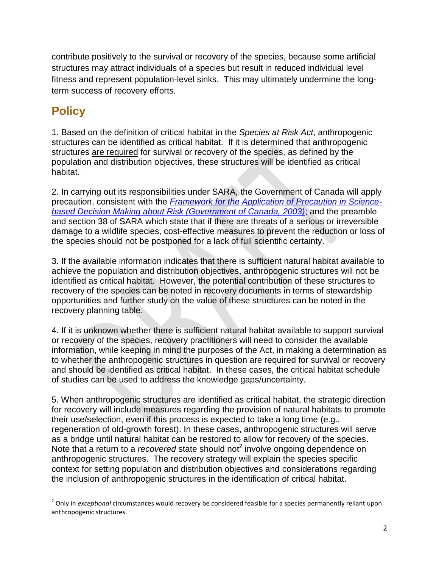contribute positively to the survival or recovery of the species, because some artificial structures may attract individuals of a species but result in reduced individual level fitness and represent population-level sinks. This may ultimately undermine the longterm success of recovery efforts.

## **Policy**

1. Based on the definition of critical habitat in the *Species at Risk Act*, anthropogenic structures can be identified as critical habitat. If it is determined that anthropogenic structures are required for survival or recovery of the species, as defined by the population and distribution objectives, these structures will be identified as critical habitat.

2. In carrying out its responsibilities under SARA, the Government of Canada will apply precaution, consistent with the *[Framework for the Application of Precaution in Science](http://www.pco-bcp.gc.ca/index.asp?lang=eng&page=information&sub=publications&doc=precaution/precaution-eng.htm)[based Decision Making about Risk \(Government of Canada, 2003\)](http://www.pco-bcp.gc.ca/index.asp?lang=eng&page=information&sub=publications&doc=precaution/precaution-eng.htm)*; and the preamble and section 38 of SARA which state that if there are threats of a serious or irreversible damage to a wildlife species, cost-effective measures to prevent the reduction or loss of the species should not be postponed for a lack of full scientific certainty.

3. If the available information indicates that there is sufficient natural habitat available to achieve the population and distribution objectives, anthropogenic structures will not be identified as critical habitat. However, the potential contribution of these structures to recovery of the species can be noted in recovery documents in terms of stewardship opportunities and further study on the value of these structures can be noted in the recovery planning table.

4. If it is unknown whether there is sufficient natural habitat available to support survival or recovery of the species, recovery practitioners will need to consider the available information, while keeping in mind the purposes of the Act, in making a determination as to whether the anthropogenic structures in question are required for survival or recovery and should be identified as critical habitat. In these cases, the critical habitat schedule of studies can be used to address the knowledge gaps/uncertainty.

5. When anthropogenic structures are identified as critical habitat, the strategic direction for recovery will include measures regarding the provision of natural habitats to promote their use/selection, even if this process is expected to take a long time (e.g., regeneration of old-growth forest). In these cases, anthropogenic structures will serve as a bridge until natural habitat can be restored to allow for recovery of the species. Note that a return to a *recovered* state should not<sup>2</sup> involve ongoing dependence on anthropogenic structures. The recovery strategy will explain the species specific context for setting population and distribution objectives and considerations regarding the inclusion of anthropogenic structures in the identification of critical habitat.

l 2 Only in *exceptional* circumstances would recovery be considered feasible for a species permanently reliant upon anthropogenic structures.